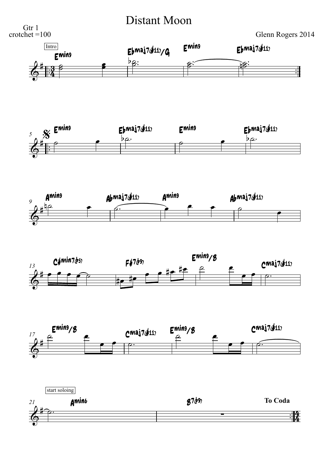**Distant Moon**